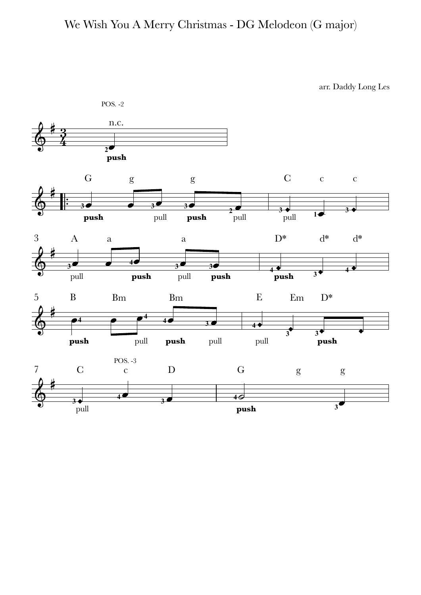## We Wish You A Merry Christmas - DG Melodeon (G major)

arr. Daddy Long Les